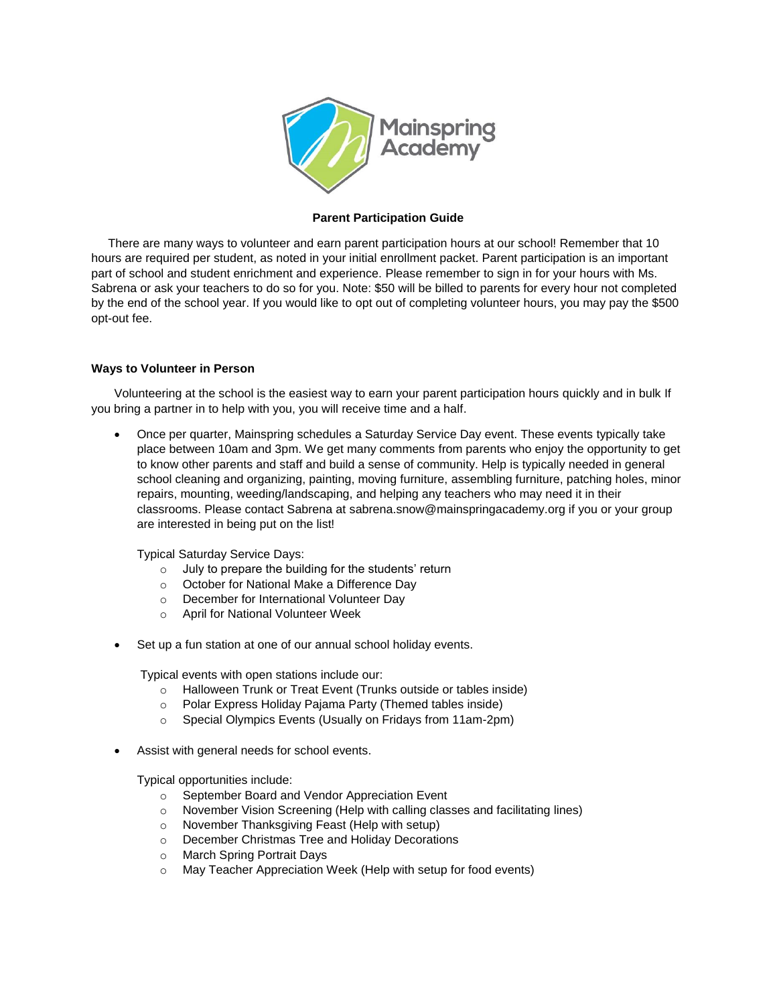

## **Parent Participation Guide**

 There are many ways to volunteer and earn parent participation hours at our school! Remember that 10 hours are required per student, as noted in your initial enrollment packet. Parent participation is an important part of school and student enrichment and experience. Please remember to sign in for your hours with Ms. Sabrena or ask your teachers to do so for you. Note: \$50 will be billed to parents for every hour not completed by the end of the school year. If you would like to opt out of completing volunteer hours, you may pay the \$500 opt-out fee.

## **Ways to Volunteer in Person**

Volunteering at the school is the easiest way to earn your parent participation hours quickly and in bulk If you bring a partner in to help with you, you will receive time and a half.

 Once per quarter, Mainspring schedules a Saturday Service Day event. These events typically take place between 10am and 3pm. We get many comments from parents who enjoy the opportunity to get to know other parents and staff and build a sense of community. Help is typically needed in general school cleaning and organizing, painting, moving furniture, assembling furniture, patching holes, minor repairs, mounting, weeding/landscaping, and helping any teachers who may need it in their classrooms. Please contact Sabrena at sabrena.snow@mainspringacademy.org if you or your group are interested in being put on the list!

Typical Saturday Service Days:

- $\circ$  July to prepare the building for the students' return
- o October for National Make a Difference Day
- o December for International Volunteer Day
- o April for National Volunteer Week
- Set up a fun station at one of our annual school holiday events.

Typical events with open stations include our:

- o Halloween Trunk or Treat Event (Trunks outside or tables inside)
- o Polar Express Holiday Pajama Party (Themed tables inside)
- o Special Olympics Events (Usually on Fridays from 11am-2pm)
- Assist with general needs for school events.

Typical opportunities include:

- o September Board and Vendor Appreciation Event
- o November Vision Screening (Help with calling classes and facilitating lines)
- o November Thanksgiving Feast (Help with setup)
- o December Christmas Tree and Holiday Decorations
- o March Spring Portrait Days
- o May Teacher Appreciation Week (Help with setup for food events)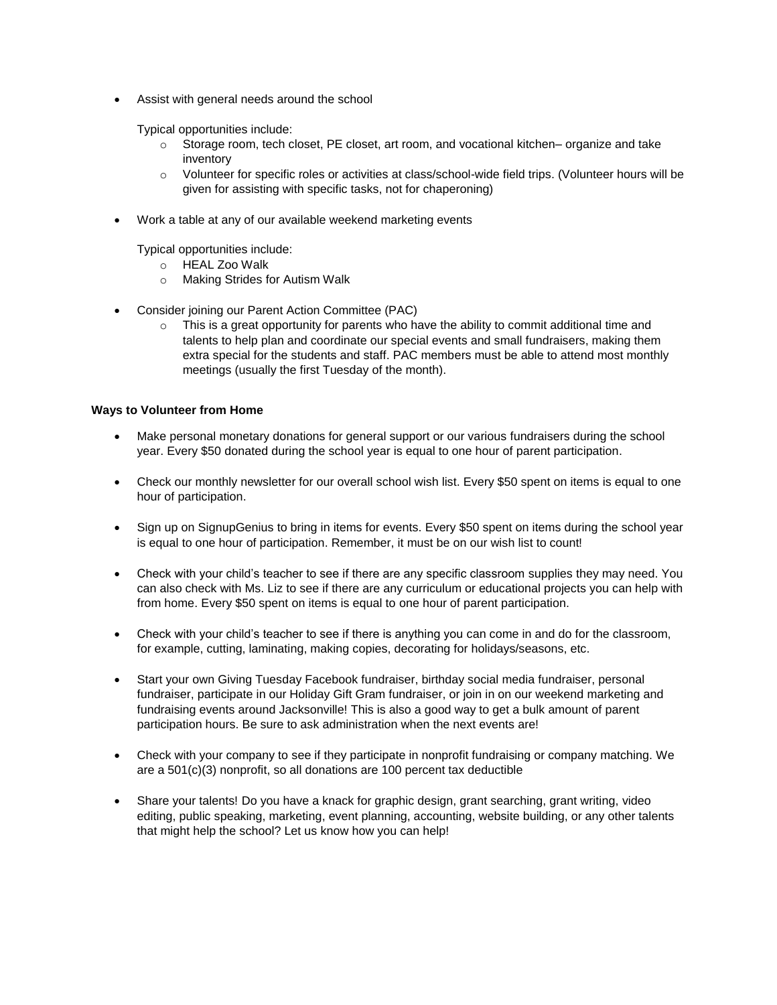Assist with general needs around the school

Typical opportunities include:

- o Storage room, tech closet, PE closet, art room, and vocational kitchen– organize and take inventory
- $\circ$  Volunteer for specific roles or activities at class/school-wide field trips. (Volunteer hours will be given for assisting with specific tasks, not for chaperoning)
- Work a table at any of our available weekend marketing events

Typical opportunities include:

- o HEAL Zoo Walk
- o Making Strides for Autism Walk
- Consider joining our Parent Action Committee (PAC)
	- $\circ$  This is a great opportunity for parents who have the ability to commit additional time and talents to help plan and coordinate our special events and small fundraisers, making them extra special for the students and staff. PAC members must be able to attend most monthly meetings (usually the first Tuesday of the month).

## **Ways to Volunteer from Home**

- Make personal monetary donations for general support or our various fundraisers during the school year. Every \$50 donated during the school year is equal to one hour of parent participation.
- Check our monthly newsletter for our overall school wish list. Every \$50 spent on items is equal to one hour of participation.
- Sign up on SignupGenius to bring in items for events. Every \$50 spent on items during the school year is equal to one hour of participation. Remember, it must be on our wish list to count!
- Check with your child's teacher to see if there are any specific classroom supplies they may need. You can also check with Ms. Liz to see if there are any curriculum or educational projects you can help with from home. Every \$50 spent on items is equal to one hour of parent participation.
- Check with your child's teacher to see if there is anything you can come in and do for the classroom, for example, cutting, laminating, making copies, decorating for holidays/seasons, etc.
- Start your own Giving Tuesday Facebook fundraiser, birthday social media fundraiser, personal fundraiser, participate in our Holiday Gift Gram fundraiser, or join in on our weekend marketing and fundraising events around Jacksonville! This is also a good way to get a bulk amount of parent participation hours. Be sure to ask administration when the next events are!
- Check with your company to see if they participate in nonprofit fundraising or company matching. We are a  $501(c)(3)$  nonprofit, so all donations are 100 percent tax deductible
- Share your talents! Do you have a knack for graphic design, grant searching, grant writing, video editing, public speaking, marketing, event planning, accounting, website building, or any other talents that might help the school? Let us know how you can help!